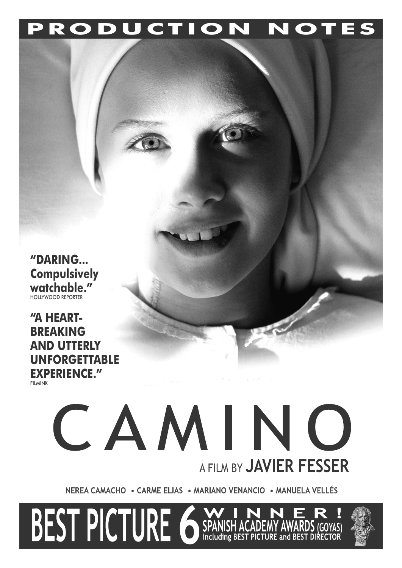**PRODUCTION NOTES**

**"DARING... Compulsively watchable."** HOLLYWOOD REPORTER

**"A HEART-BREAKING AND UTTERLY UNFORGETTABLE EXPERIENCE."** FILMINK

# CAMINO A FILM BY **JAVIER FESSER**

NEREA CAMACHO . CARME ELIAS . MARIANO VENANCIO . MANUELA VELLÉS

**BEST PICTURE 6 SPANISH** 

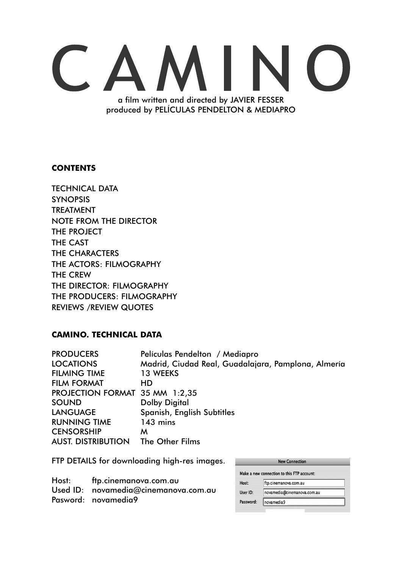## $\begin{pmatrix} 1 & 1 \\ 1 & 1 \end{pmatrix}$ a film written and directed by JAVIER FESSER produced by PELÍCULAS PENDELTON & MEDIAPRO

#### **CONTENTS**

TECHNICAL DATA SYNOPSIS TREATMENT NOTE FROM THE DIRECTOR THE PROJECT THE CAST THE CHARACTERS THE ACTORS: FILMOGRAPHY THE CREW THE DIRECTOR: FILMOGRAPHY THE PRODUCERS: FILMOGRAPHY REVIEWS /REVIEW QUOTES

#### **CAMINO. TECHNICAL DATA**

| Películas Pendelton / Mediapro                      |
|-----------------------------------------------------|
| Madrid, Ciudad Real, Guadalajara, Pamplona, Almería |
| 13 WEEKS                                            |
| <b>HD</b>                                           |
| PROJECTION FORMAT 35 MM 1:2,35                      |
| <b>Dolby Digital</b>                                |
| Spanish, English Subtitles                          |
| 143 mins                                            |
| M                                                   |
| The Other Films                                     |
|                                                     |

FTP DETAILS for downloading high-res images.

| Host: ftp.cinemanova.com.au          |
|--------------------------------------|
| Used ID: novamedia@cinemanova.com.au |
| Pasword: novamedia9                  |

| <b>New Connection</b>                      |                             |  |  |
|--------------------------------------------|-----------------------------|--|--|
| Make a new connection to this FTP account: |                             |  |  |
| Host:                                      | ftp.cinemanova.com.au       |  |  |
| User ID:                                   | novamedia@cinemanova.com.au |  |  |
| Password:                                  | novamedia9                  |  |  |
|                                            |                             |  |  |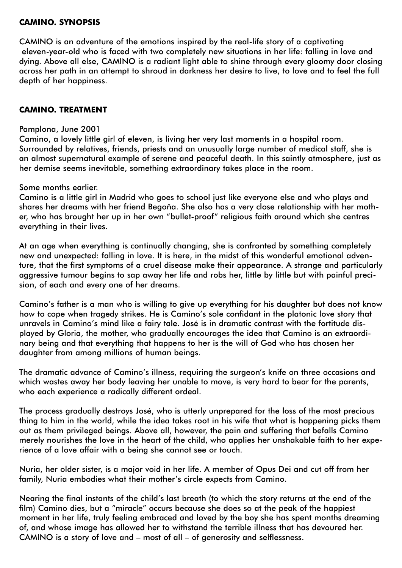#### **CAMINO. SYNOPSIS**

CAMINO is an adventure of the emotions inspired by the real-life story of a captivating eleven-year-old who is faced with two completely new situations in her life: falling in love and dying. Above all else, CAMINO is a radiant light able to shine through every gloomy door closing across her path in an attempt to shroud in darkness her desire to live, to love and to feel the full depth of her happiness.

#### **CAMINO. TREATMENT**

#### Pamplona, June 2001

Camino, a lovely little girl of eleven, is living her very last moments in a hospital room. Surrounded by relatives, friends, priests and an unusually large number of medical staff, she is an almost supernatural example of serene and peaceful death. In this saintly atmosphere, just as her demise seems inevitable, something extraordinary takes place in the room.

#### Some months earlier.

Camino is a little girl in Madrid who goes to school just like everyone else and who plays and shares her dreams with her friend Begoña. She also has a very close relationship with her mother, who has brought her up in her own "bullet-proof" religious faith around which she centres everything in their lives.

At an age when everything is continually changing, she is confronted by something completely new and unexpected: falling in love. It is here, in the midst of this wonderful emotional adventure, that the first symptoms of a cruel disease make their appearance. A strange and particularly aggressive tumour begins to sap away her life and robs her, little by little but with painful precision, of each and every one of her dreams.

Camino's father is a man who is willing to give up everything for his daughter but does not know how to cope when tragedy strikes. He is Camino's sole confidant in the platonic love story that unravels in Camino's mind like a fairy tale. José is in dramatic contrast with the fortitude displayed by Gloria, the mother, who gradually encourages the idea that Camino is an extraordinary being and that everything that happens to her is the will of God who has chosen her daughter from among millions of human beings.

The dramatic advance of Camino's illness, requiring the surgeon's knife on three occasions and which wastes away her body leaving her unable to move, is very hard to bear for the parents, who each experience a radically different ordeal.

The process gradually destroys José, who is utterly unprepared for the loss of the most precious thing to him in the world, while the idea takes root in his wife that what is happening picks them out as them privileged beings. Above all, however, the pain and suffering that befalls Camino merely nourishes the love in the heart of the child, who applies her unshakable faith to her experience of a love affair with a being she cannot see or touch.

Nuria, her older sister, is a major void in her life. A member of Opus Dei and cut off from her family, Nuria embodies what their mother's circle expects from Camino.

Nearing the final instants of the child's last breath (to which the story returns at the end of the film) Camino dies, but a "miracle" occurs because she does so at the peak of the happiest moment in her life, truly feeling embraced and loved by the boy she has spent months dreaming of, and whose image has allowed her to withstand the terrible illness that has devoured her. CAMINO is a story of love and – most of all – of generosity and selflessness.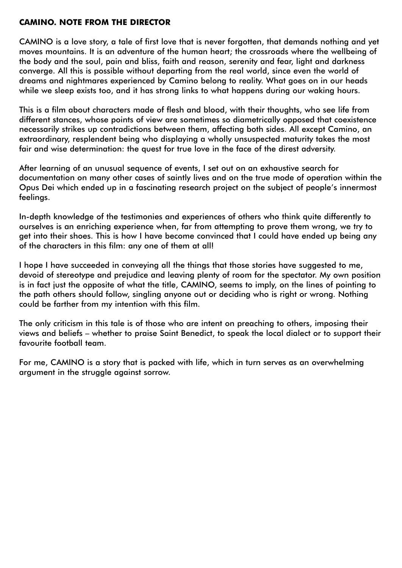#### **CAMINO. NOTE FROM THE DIRECTOR**

CAMINO is a love story, a tale of first love that is never forgotten, that demands nothing and yet moves mountains. It is an adventure of the human heart; the crossroads where the wellbeing of the body and the soul, pain and bliss, faith and reason, serenity and fear, light and darkness converge. All this is possible without departing from the real world, since even the world of dreams and nightmares experienced by Camino belong to reality. What goes on in our heads while we sleep exists too, and it has strong links to what happens during our waking hours.

This is a film about characters made of flesh and blood, with their thoughts, who see life from different stances, whose points of view are sometimes so diametrically opposed that coexistence necessarily strikes up contradictions between them, affecting both sides. All except Camino, an extraordinary, resplendent being who displaying a wholly unsuspected maturity takes the most fair and wise determination: the quest for true love in the face of the direst adversity.

After learning of an unusual sequence of events, I set out on an exhaustive search for documentation on many other cases of saintly lives and on the true mode of operation within the Opus Dei which ended up in a fascinating research project on the subject of people's innermost feelings.

In-depth knowledge of the testimonies and experiences of others who think quite differently to ourselves is an enriching experience when, far from attempting to prove them wrong, we try to get into their shoes. This is how I have become convinced that I could have ended up being any of the characters in this film: any one of them at all!

I hope I have succeeded in conveying all the things that those stories have suggested to me, devoid of stereotype and prejudice and leaving plenty of room for the spectator. My own position is in fact just the opposite of what the title, CAMINO, seems to imply, on the lines of pointing to the path others should follow, singling anyone out or deciding who is right or wrong. Nothing could be farther from my intention with this film.

The only criticism in this tale is of those who are intent on preaching to others, imposing their views and beliefs – whether to praise Saint Benedict, to speak the local dialect or to support their favourite football team.

For me, CAMINO is a story that is packed with life, which in turn serves as an overwhelming argument in the struggle against sorrow.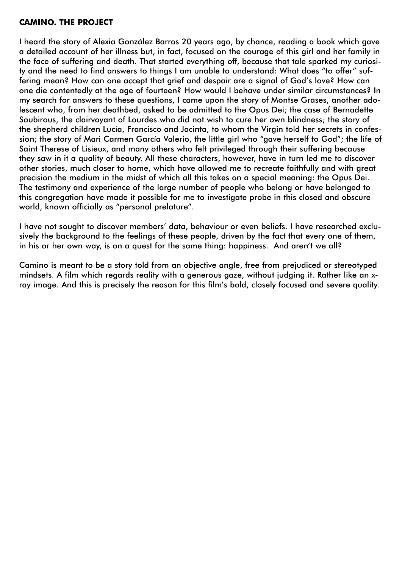#### **CAMINO. THE PROJECT**

I heard the story of Alexia González Barros 20 years ago, by chance, reading a book which gave a detailed account of her illness but, in fact, focused on the courage of this girl and her family in the face of suffering and death. That started everything off, because that tale sparked my curiosity and the need to find answers to things I am unable to understand: What does "to offer" suffering mean? How can one accept that grief and despair are a signal of God's love? How can one die contentedly at the age of fourteen? How would I behave under similar circumstances? In my search for answers to these questions, I came upon the story of Montse Grases, another adolescent who, from her deathbed, asked to be admitted to the Opus Dei; the case of Bernadette Soubirous, the clairvoyant of Lourdes who did not wish to cure her own blindness; the story of the shepherd children Lucía, Francisco and Jacinta, to whom the Virgin told her secrets in confession; the story of Mari Carmen García Valerio, the little girl who "gave herself to God"; the life of Saint Therese of Lisieux, and many others who felt privileged through their suffering because they saw in it a quality of beauty. All these characters, however, have in turn led me to discover other stories, much closer to home, which have allowed me to recreate faithfully and with great precision the medium in the midst of which all this takes on a special meaning: the Opus Dei. The testimony and experience of the large number of people who belong or have belonged to this congregation have made it possible for me to investigate probe in this closed and obscure world, known officially as "personal prelature".

I have not sought to discover members' data, behaviour or even beliefs. I have researched exclusively the background to the feelings of these people, driven by the fact that every one of them, in his or her own way, is on a quest for the same thing: happiness. And aren't we all?

Camino is meant to be a story told from an objective angle, free from prejudiced or stereotyped mindsets. A film which regards reality with a generous gaze, without judging it. Rather like an xray image. And this is precisely the reason for this film's bold, closely focused and severe quality.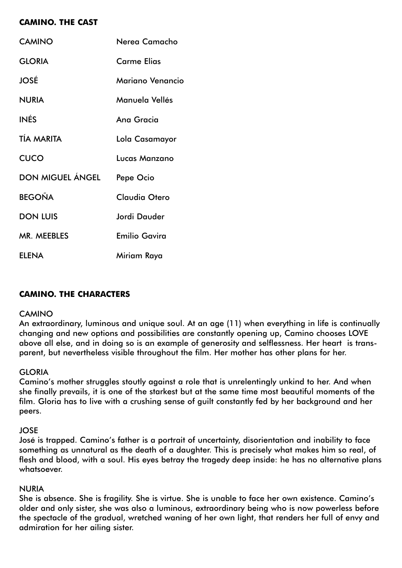### **CAMINO. THE CAST**

| <b>CAMINO</b>     | Nerea Camacho        |
|-------------------|----------------------|
| <b>GLORIA</b>     | <b>Carme Elias</b>   |
| <b>JOSÉ</b>       | Mariano Venancio     |
| <b>NURIA</b>      | Manuela Vellés       |
| <b>INÉS</b>       | Ana Gracia           |
| <b>TÍA MARITA</b> | Lola Casamayor       |
| <b>CUCO</b>       | Lucas Manzano        |
| DON MIGUEL ÁNGEL  | Pepe Ocio            |
| <b>BEGOÑA</b>     | <b>Claudia Otero</b> |
| <b>DON LUIS</b>   | Jordi Dauder         |
| MR. MEEBLES       | <b>Emilio Gavira</b> |
| <b>ELENA</b>      | Miriam Raya          |

#### **CAMINO. THE CHARACTERS**

#### CAMINO

An extraordinary, luminous and unique soul. At an age (11) when everything in life is continually changing and new options and possibilities are constantly opening up, Camino chooses LOVE above all else, and in doing so is an example of generosity and selflessness. Her heart is transparent, but nevertheless visible throughout the film. Her mother has other plans for her.

#### **GLORIA**

Camino's mother struggles stoutly against a role that is unrelentingly unkind to her. And when she finally prevails, it is one of the starkest but at the same time most beautiful moments of the film. Gloria has to live with a crushing sense of guilt constantly fed by her background and her peers.

#### JOSE

José is trapped. Camino's father is a portrait of uncertainty, disorientation and inability to face something as unnatural as the death of a daughter. This is precisely what makes him so real, of flesh and blood, with a soul. His eyes betray the tragedy deep inside: he has no alternative plans whatsoever.

#### NURIA

She is absence. She is fragility. She is virtue. She is unable to face her own existence. Camino's older and only sister, she was also a luminous, extraordinary being who is now powerless before the spectacle of the gradual, wretched waning of her own light, that renders her full of envy and admiration for her ailing sister.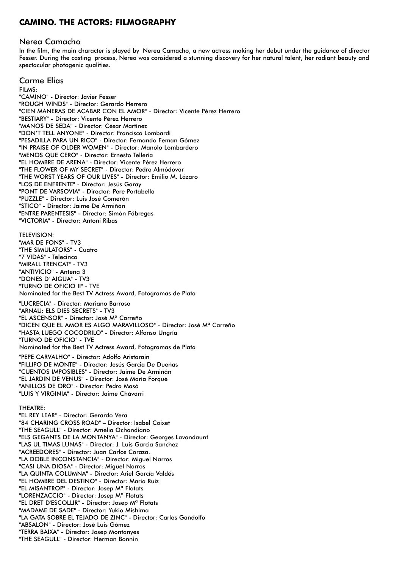#### **CAMINO. THE ACTORS: FILMOGRAPHY**

#### Nerea Camacho

In the film, the main character is played by Nerea Camacho, a new actress making her debut under the guidance of director Fesser. During the casting process, Nerea was considered a stunning discovery for her natural talent, her radiant beauty and spectacular photogenic qualities.

#### Carme Elias

FILMS: "CAMINO" - Director: Javier Fesser "ROUGH WINDS" - Director: Gerardo Herrero "CIEN MANERAS DE ACABAR CON EL AMOR" - Director: Vicente Pérez Herrero "BESTIARY" - Director: Vicente Pérez Herrero "MANOS DE SEDA" - Director: César Martínez "DON'T TELL ANYONE" - Director: Francisco Lombardi "PESADILLA PARA UN RICO" - Director: Fernando Feman Gómez "IN PRAISE OF OLDER WOMEN" - Director: Manolo Lombardero "MENOS QUE CERO" - Director: Ernesto Telleria "EL HOMBRE DE ARENA" - Director: Vicente Pérez Herrero "THE FLOWER OF MY SECRET" - Director: Pedro Almódovar "THE WORST YEARS OF OUR LIVES" - Director: Emilio M. Lázaro "LOS DE ENFRENTE" - Director: Jesús Garay "PONT DE VARSOVIA" - Director: Pere Portabella "PUZZLE" - Director: Luis José Comerón "STICO" - Director: Jaime De Armiñán "ENTRE PARENTESIS" - Director: Simón Fábregas "VICTORIA" - Director: Antoni Ribas TELEVISION: "MAR DE FONS" - TV3 "THE SIMULATORS" - Cuatro "7 VIDAS" - Telecinco "MIRALL TRENCAT" - TV3 "ANTIVICIO" - Antena 3 "DONES D' AIGUA" - TV3 "TURNO DE OFICIO II" - TVE Nominated for the Best TV Actress Award, Fotogramas de Plata "LUCRECIA" - Director: Mariano Barroso "ARNAU: ELS DIES SECRETS" - TV3 "EL ASCENSOR" - Director: José Mª Carreño "DICEN QUE EL AMOR ES ALGO MARAVILLOSO" - Director: José Mª Carreño "HASTA LUEGO COCODRILO" - Director: Alfonso Ungría "TURNO DE OFICIO" - TVE Nominated for the Best TV Actress Award, Fotogramas de Plata "PEPE CARVALHO" - Director: Adolfo Aristarain "FILLIPO DE MONTE" - Director: Jesús Garcia De Dueñas "CUENTOS IMPOSIBLES" - Director: Jaime De Armiñán "EL JARDIN DE VENUS" - Director: José María Forqué "ANILLOS DE ORO" - Director: Pedro Masó "LUIS Y VIRGINIA" - Director: Jaime Chávarri THEATRE: "EL REY LEAR" - Director: Gerardo Vera "84 CHARING CROSS ROAD" – Director: Isabel Coixet "THE SEAGULL" - Director: Amelia Ochandiano "ELS GEGANTS DE LA MONTANYA" - Director: Georges Lavandaunt "LAS UL TIMAS LUNAS" - Director: J. Luis Garcia Sanchez "ACREEDORES" - Director: Juan Carlos Coraza. "LA DOBLE INCONSTANCIA" - Director: Miguel Narros "CASI UNA DIOSA" - Director: Miguel Narros "LA QUINTA COLUMNA" - Director: Ariel García Valdés "EL HOMBRE DEL DESTINO" - Director: Maria Ruiz "EL MISANTROP" - Director: Josep Mª Flotats "LORENZACCIO" - Director: Josep Mª Flotats "EL DRET D'ESCOLLIR" - Director: Josep Mª Flotats "MADAME DE SADE" - Director: Yukio Mishima "LA GATA SOBRE EL TEJADO DE ZINC" - Director: Carlos Gandolfo "ABSALON" - Director: José Luis Gómez "TERRA BAIXA" - Director: Josep Montanyes "THE SEAGULL" - Director: Herman Bonnin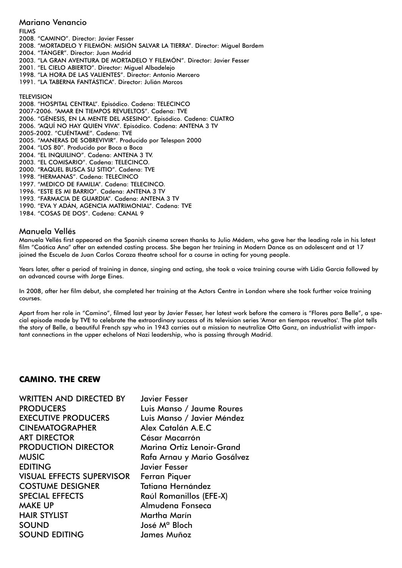#### Mariano Venancio

FILMS

2008. "CAMINO". Director: Javier Fesser

2008. "MORTADELO Y FILEMÓN: MISIÓN SALVAR LA TIERRA". Director: Miguel Bardem

2004. "TÁNGER". Director: Juan Madrid

2003. "LA GRAN AVENTURA DE MORTADELO Y FILEMÓN". Director: Javier Fesser

2001. "EL CIELO ABIERTO". Director: Miguel Albadelejo

1998. "LA HORA DE LAS VALIENTES". Director: Antonio Mercero

1991. "LA TABERNA FANTÁSTICA". Director: Julián Marcos

#### **TELEVISION**

2008. "HOSPITAL CENTRAL". Episódico. Cadena: TELECINCO 2007-2006. "AMAR EN TIEMPOS REVUELTOS". Cadena: TVE 2006. "GÉNESIS, EN LA MENTE DEL ASESINO". Episódico. Cadena: CUATRO 2006. "AQUÍ NO HAY QUIEN VIVA". Episódico. Cadena: ANTENA 3 TV 2005-2002. "CUÉNTAME". Cadena: TVE 2005. "MANERAS DE SOBREVIVIR". Producido por Telespan 2000 2004. "LOS 80". Producido por Boca a Boca 2004. "EL INQUILINO". Cadena: ANTENA 3 TV. 2003. "EL COMISARIO". Cadena: TELECINCO. 2000. "RAQUEL BUSCA SU SITIO". Cadena: TVE 1998. "HERMANAS". Cadena: TELECINCO 1997. "MEDICO DE FAMILIA". Cadena: TELECINCO. 1996. "ESTE ES MI BARRIO". Cadena: ANTENA 3 TV 1993. "FARMACIA DE GUARDIA". Cadena: ANTENA 3 TV

- 1990. "EVA Y ADÁN, AGENCIA MATRIMONIAL". Cadena: TVE
- 1984. "COSAS DE DOS". Cadena: CANAL 9

#### Manuela Vellés

Manuela Vellés first appeared on the Spanish cinema screen thanks to Julio Médem, who gave her the leading role in his latest film "Caótica Ana" after an extended casting process. She began her training in Modern Dance as an adolescent and at 17 joined the Escuela de Juan Carlos Coraza theatre school for a course in acting for young people.

Years later, after a period of training in dance, singing and acting, she took a voice training course with Lidia García followed by an advanced course with Jorge Eines.

In 2008, after her film debut, she completed her training at the Actors Centre in London where she took further voice training courses.

Apart from her role in "Camino", filmed last year by Javier Fesser, her latest work before the camera is "Flores para Belle", a special episode made by TVE to celebrate the extraordinary success of its television series 'Amar en tiempos revueltos'. The plot tells the story of Belle, a beautiful French spy who in 1943 carries out a mission to neutralize Otto Ganz, an industrialist with important connections in the upper echelons of Nazi leadership, who is passing through Madrid.

#### **CAMINO. THE CREW**

WRITTEN AND DIRECTED BY Javier Fesser PRODUCERS Luis Manso / Jaume Roures EXECUTIVE PRODUCERS Luis Manso / Javier Méndez CINEMATOGRAPHER Alex Catalán A.E.C ART DIRECTOR César Macarrón PRODUCTION DIRECTOR Marina Ortiz Lenoir-Grand MUSIC Rafa Arnau y Mario Gosálvez EDITING Javier Fesser VISUAL EFFECTS SUPERVISOR Ferran Piquer COSTUME DESIGNER Tatiana Hernández SPECIAL EFFECTS Raúl Romanillos (EFE-X) MAKE UP **Almudena Fonseca** HAIR STYLIST Martha Marín SOUND José Mª Bloch SOUND EDITING James Muñoz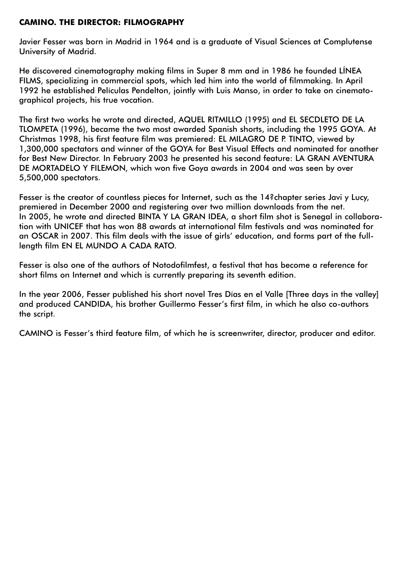#### **CAMINO. THE DIRECTOR: FILMOGRAPHY**

Javier Fesser was born in Madrid in 1964 and is a graduate of Visual Sciences at Complutense University of Madrid.

He discovered cinematography making films in Super 8 mm and in 1986 he founded LÍNEA FILMS, specializing in commercial spots, which led him into the world of filmmaking. In April 1992 he established Películas Pendelton, jointly with Luis Manso, in order to take on cinematographical projects, his true vocation.

The first two works he wrote and directed, AQUEL RITMILLO (1995) and EL SECDLETO DE LA TLOMPETA (1996), became the two most awarded Spanish shorts, including the 1995 GOYA. At Christmas 1998, his first feature film was premiered: EL MILAGRO DE P. TINTO, viewed by 1,300,000 spectators and winner of the GOYA for Best Visual Effects and nominated for another for Best New Director. In February 2003 he presented his second feature: LA GRAN AVENTURA DE MORTADELO Y FILEMON, which won five Goya awards in 2004 and was seen by over 5,500,000 spectators.

Fesser is the creator of countless pieces for Internet, such as the 14?chapter series Javi y Lucy, premiered in December 2000 and registering over two million downloads from the net. In 2005, he wrote and directed BINTA Y LA GRAN IDEA, a short film shot is Senegal in collaboration with UNICEF that has won 88 awards at international film festivals and was nominated for an OSCAR in 2007. This film deals with the issue of girls' education, and forms part of the fulllength film EN EL MUNDO A CADA RATO.

Fesser is also one of the authors of Notodofilmfest, a festival that has become a reference for short films on Internet and which is currently preparing its seventh edition.

In the year 2006, Fesser published his short novel Tres Días en el Valle [Three days in the valley] and produced CANDIDA, his brother Guillermo Fesser's first film, in which he also co-authors the script.

CAMINO is Fesser's third feature film, of which he is screenwriter, director, producer and editor.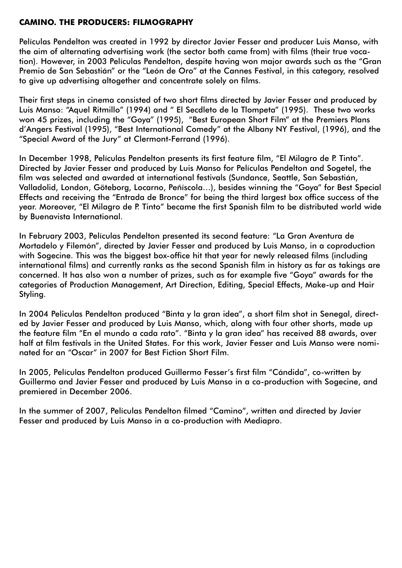#### **CAMINO. THE PRODUCERS: FILMOGRAPHY**

Películas Pendelton was created in 1992 by director Javier Fesser and producer Luis Manso, with the aim of alternating advertising work (the sector both came from) with films (their true vocation). However, in 2003 Películas Pendelton, despite having won major awards such as the "Gran Premio de San Sebastián" or the "León de Oro" at the Cannes Festival, in this category, resolved to give up advertising altogether and concentrate solely on films.

Their first steps in cinema consisted of two short films directed by Javier Fesser and produced by Luis Manso: "Aquel Ritmillo" (1994) and " El Secdleto de la Tlompeta" (1995). These two works won 45 prizes, including the "Goya" (1995), "Best European Short Film" at the Premiers Plans d'Angers Festival (1995), "Best International Comedy" at the Albany NY Festival, (1996), and the "Special Award of the Jury" at Clermont-Ferrand (1996).

In December 1998, Películas Pendelton presents its first feature film, "El Milagro de P. Tinto". Directed by Javier Fesser and produced by Luis Manso for Películas Pendelton and Sogetel, the film was selected and awarded at international festivals (Sundance, Seattle, San Sebastián, Valladolid, London, Göteborg, Locarno, Peñíscola…), besides winning the "Goya" for Best Special Effects and receiving the "Entrada de Bronce" for being the third largest box office success of the year. Moreover, "El Milagro de P. Tinto" became the first Spanish film to be distributed world wide by Buenavista International.

In February 2003, Películas Pendelton presented its second feature: "La Gran Aventura de Mortadelo y Filemón", directed by Javier Fesser and produced by Luis Manso, in a coproduction with Sogecine. This was the biggest box-office hit that year for newly released films (including international films) and currently ranks as the second Spanish film in history as far as takings are concerned. It has also won a number of prizes, such as for example five "Goya" awards for the categories of Production Management, Art Direction, Editing, Special Effects, Make-up and Hair Styling.

In 2004 Peliculas Pendelton produced "Binta y la gran idea", a short film shot in Senegal, directed by Javier Fesser and produced by Luis Manso, which, along with four other shorts, made up the feature film "En el mundo a cada rato". "Binta y la gran idea" has received 88 awards, over half at film festivals in the United States. For this work, Javier Fesser and Luis Manso were nominated for an "Oscar" in 2007 for Best Fiction Short Film.

In 2005, Películas Pendelton produced Guillermo Fesser's first film "Cándida", co-written by Guillermo and Javier Fesser and produced by Luis Manso in a co-production with Sogecine, and premiered in December 2006.

In the summer of 2007, Películas Pendelton filmed "Camino", written and directed by Javier Fesser and produced by Luis Manso in a co-production with Mediapro.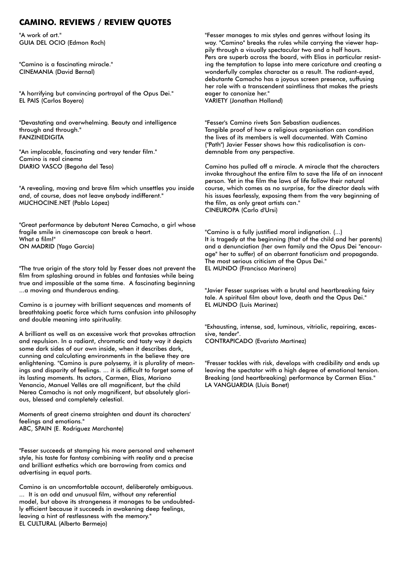#### **CAMINO. REVIEWS / REVIEW QUOTES**

"A work of art." GUIA DEL OCIO (Edmon Roch)

"Camino is a fascinating miracle." CINEMANIA (David Bernal)

"A horrifying but convincing portrayal of the Opus Dei." EL PAIS (Carlos Boyero)

"Devastating and overwhelming. Beauty and intelligence through and through." FANZINEDIGITA

"An implacable, fascinating and very tender film." Camino is real cinema DIARIO VASCO (Begoña del Teso)

"A revealing, moving and brave film which unsettles you inside and, of course, does not leave anybody indifferent." MUCHOCINE.NET (Pablo López)

"Great performance by debutant Nerea Camacho, a girl whose fragile smile in cinemascope can break a heart. What a film!" ON MADRID (Yago García)

"The true origin of the story told by Fesser does not prevent the film from splashing around in fables and fantasies while being true and impossible at the same time. A fascinating beginning ...a moving and thunderous ending.

Camino is a journey with brilliant sequences and moments of breathtaking poetic force which turns confusion into philosophy and double meaning into spirituality.

A brilliant as well as an excessive work that provokes attraction and repulsion. In a radiant, chromatic and tasty way it depicts some dark sides of our own inside, when it describes dark, cunning and calculating environments in the believe they are enlightening. "Camino is pure polysemy, it is plurality of meanings and disparity of feelings. ... it is difficult to forget some of its lasting moments. Its actors, Carmen, Elías, Mariano Venancio, Manuel Vellés are all magnificent, but the child Nerea Camacho is not only magnificent, but absolutely glorious, blessed and completely celestial.

Moments of great cinema straighten and daunt its characters' feelings and emotions." ABC, SPAIN (E. Rodriguez Marchante)

"Fesser succeeds at stamping his more personal and vehement style, his taste for fantasy combining with reality and a precise and brilliant esthetics which are borrowing from comics and advertising in equal parts.

Camino is an uncomfortable account, deliberately ambiguous. ... It is an odd and unusual film, without any referential model, but above its strangeness it manages to be undoubtedly efficient because it succeeds in awakening deep feelings, leaving a hint of restlessness with the memory." EL CULTURAL (Alberto Bermejo)

"Fesser manages to mix styles and genres without losing its way. "Camino" breaks the rules while carrying the viewer happily through a visually spectacular two and a half hours. Pers are superb across the board, with Elias in particular resisting the temptation to lapse into mere caricature and creating a wonderfully complex character as a result. The radiant-eyed, debutante Camacho has a joyous screen presence, suffusing her role with a transcendent saintliness that makes the priests eager to canonize her." VARIETY (Jonathan Holland)

"Fesser's Camino rivets San Sebastian audiences. Tangible proof of how a religious organisation can condition the lives of its members is well documented. With Camino ("Path") Javier Fesser shows how this radicalisation is condemnable from any perspective.

Camino has pulled off a miracle. A miracle that the characters invoke throughout the entire film to save the life of an innocent person. Yet in the film the laws of life follow their natural course, which comes as no surprise, for the director deals with his issues fearlessly, exposing them from the very beginning of the film, as only great artists can." CINEUROPA (Carlo d'Ursi)

"Camino is a fully justified moral indignation. (...) It is tragedy at the beginning (that of the child and her parents) and a denunciation (her own family and the Opus Dei "encourage" her to suffer) of an aberrant fanaticism and propaganda. The most serious criticism of the Opus Dei." EL MUNDO (Francisco Marinero)

"Javier Fesser susprises with a brutal and heartbreaking fairy tale. A spiritual film about love, death and the Opus Dei." EL MUNDO (Luis Marínez)

"Exhausting, intense, sad, luminous, vitriolic, repairing, excessive, tender". CONTRAPICADO (Evaristo Martínez)

"Fresser tackles with risk, develops with credibility and ends up leaving the spectator with a high degree of emotional tension. Breaking (and heartbreaking) performance by Carmen Elias." LA VANGUARDIA (Lluis Bonet)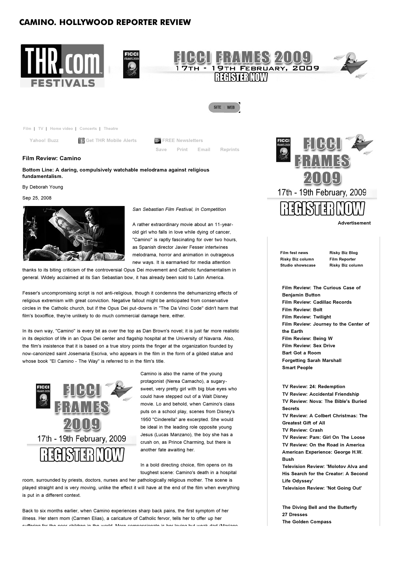#### **CAMINO. HOLLYWOOD REPORTER REVIEW**



**Film Review: Camino**

**Bottom Line: A daring, compulsively watchable melodrama against religious fundamentalism.**

By Deborah Young

Sep 25, 2008



*San Sebastian Film Festival, In Competition*

A rather extraordinary movie about an 11-yearold girl who falls in love while dying of cancer, "Camino" is raptly fascinating for over two hours, as Spanish director Javier Fesser intertwines melodrama, horror and animation in outrageous new ways. It is earmarked for media attention

thanks to its biting criticism of the controversial Opus Dei movement and Catholic fundamentalism in general. Widely acclaimed at its San Sebastian bow, it has already been sold to Latin America.

Fesser's uncompromising script is not anti-religious, though it condemns the dehumanizing effects of religious extremism with great conviction. Negative fallout might be anticipated from conservative circles in the Catholic church, but if the Opus Dei put-downs in "The Da Vinci Code" didn't harm that film's boxoffice, they're unlikely to do much commercial damage here, either.

In its own way, "Camino" is every bit as over the top as Dan Brown's novel; it is just far more realistic in its depiction of life in an Opus Dei center and flagship hospital at the University of Navarra. Also, the film's insistence that it is based on a true story points the finger at the organization founded by now-canonized saint Josemaria Escriva, who appears in the film in the form of a gilded statue and whose book "El Camino - The Way" is referred to in the film's title.



Camino is also the name of the young protagonist (Nerea Camacho), a sugarysweet, very pretty girl with big blue eyes who could have stepped out of a Walt Disney movie. Lo and behold, when Camino's class puts on a school play, scenes from Disney's 1950 "Cinderella" are excerpted. She would be ideal in the leading role opposite young Jesus (Lucas Manzano), the boy she has a crush on, as Prince Charming, but there is another fate awaiting her.

In a bold directing choice, film opens on its toughest scene: Camino's death in a hospital

room, surrounded by priests, doctors, nurses and her pathologically religious mother. The scene is played straight and is very moving, unlike the effect it will have at the end of the film when everything is put in a different context.

Back to six months earlier, when Camino experiences sharp back pains, the first symptom of her illness. Her stern mom (Carmen Elias), a caricature of Catholic fervor, tells her to offer up her suffering for the poor children in the world More compassionate is her loving but weak dad (Mariano



**Advertisement**

**Film fest news Risky Biz column Studio showscase** **Risky Biz Blog Film Reporter Risky Biz column**

**Film Review: The Curious Case of Benjamin Button Film Review: Cadillac Records Film Review: Bolt Film Review: Twilight Film Review: Journey to the Center of the Earth Film Review: Being W Film Review: Sex Drive Bart Got a Room Forgetting Sarah Marshall Smart People**

**TV Review: 24: Redemption TV Review: Accidental Friendship TV Review: Nova: The Bible's Buried Secrets TV Review: A Colbert Christmas: The Greatest Gift of All TV Review: Crash TV Review: Pam: Girl On The Loose TV Review: On the Road in America American Experience: George H.W. Bush Television Review: 'Molotov Alva and His Search for the Creator: A Second Life Odyssey' Television Review: 'Not Going Out'**

**The Diving Bell and the Butterfly 27 Dresses The Golden Compass**